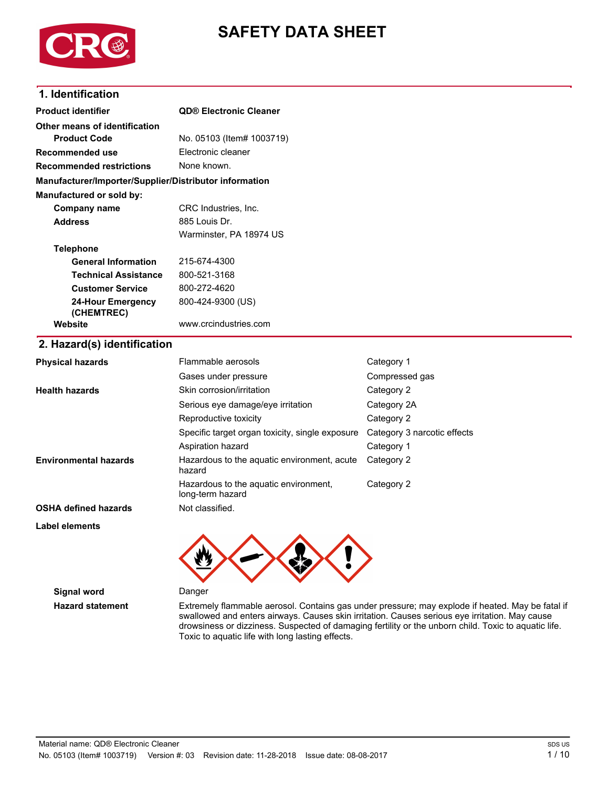



### **1. Identification**

| <b>Product identifier</b>                              | <b>QD® Electronic Cleaner</b> |                |  |
|--------------------------------------------------------|-------------------------------|----------------|--|
| Other means of identification                          |                               |                |  |
| <b>Product Code</b>                                    | No. 05103 (Item# 1003719)     |                |  |
| <b>Recommended use</b>                                 | Electronic cleaner            |                |  |
| <b>Recommended restrictions</b>                        | None known.                   |                |  |
| Manufacturer/Importer/Supplier/Distributor information |                               |                |  |
| Manufactured or sold by:                               |                               |                |  |
| Company name                                           | CRC Industries, Inc.          |                |  |
| <b>Address</b>                                         | 885 Louis Dr.                 |                |  |
|                                                        | Warminster, PA 18974 US       |                |  |
| <b>Telephone</b>                                       |                               |                |  |
| <b>General Information</b>                             | 215-674-4300                  |                |  |
| <b>Technical Assistance</b>                            | 800-521-3168                  |                |  |
| <b>Customer Service</b>                                | 800-272-4620                  |                |  |
| <b>24-Hour Emergency</b><br>(CHEMTREC)                 | 800-424-9300 (US)             |                |  |
| Website                                                | www.crcindustries.com         |                |  |
| 2. Hazard(s) identification                            |                               |                |  |
| <b>Physical hazards</b>                                | Flammable aerosols            | Category 1     |  |
|                                                        | Gases under pressure          | Compressed gas |  |
| <b>Health hazards</b>                                  | Skin corrosion/irritation     | Category 2     |  |

| Health hazards               | Skin corrosion/irritation                                 | Category 2                  |
|------------------------------|-----------------------------------------------------------|-----------------------------|
|                              | Serious eye damage/eye irritation                         | Category 2A                 |
|                              | Reproductive toxicity                                     | Category 2                  |
|                              | Specific target organ toxicity, single exposure           | Category 3 narcotic effects |
|                              | Aspiration hazard                                         | Category 1                  |
| <b>Environmental hazards</b> | Hazardous to the aquatic environment, acute<br>hazard     | Category 2                  |
|                              | Hazardous to the aguatic environment.<br>long-term hazard | Category 2                  |
| <b>OSHA defined hazards</b>  | Not classified.                                           |                             |
|                              |                                                           |                             |





**Signal word** Danger

**Eazard statement** Ewtremely flammable aerosol. Contains gas under pressure; may ewplode if heated. May be fatal if swallowed and enters airways. Causes skin irritation. Causes serious eye irritation. May cause drowsiness or dizziness. Suspected of damaging fertility or the unborn child. Towic to aquatic life. Towic to aquatic life with long lasting effects.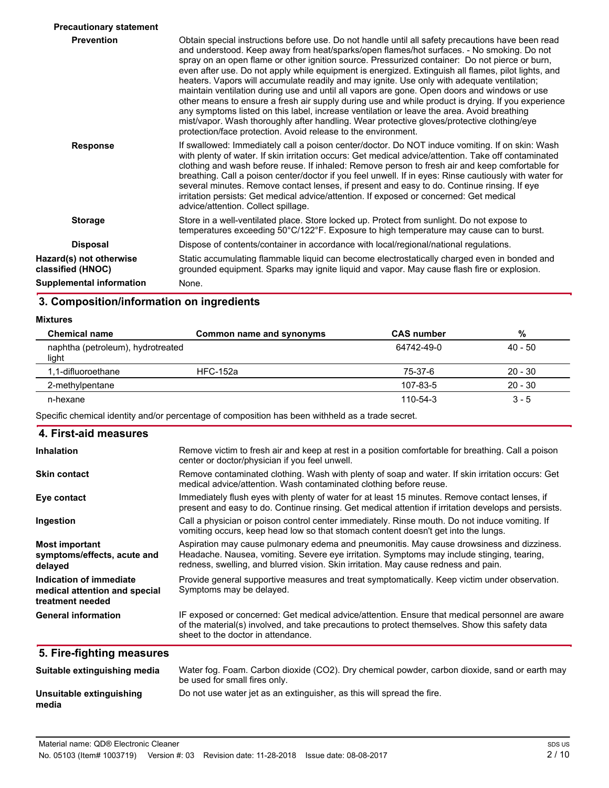| <b>Precautionary statement</b>               |                                                                                                                                                                                                                                                                                                                                                                                                                                                                                                                                                                                                                                                                                                                                                                                                                                                                                                                                                                           |
|----------------------------------------------|---------------------------------------------------------------------------------------------------------------------------------------------------------------------------------------------------------------------------------------------------------------------------------------------------------------------------------------------------------------------------------------------------------------------------------------------------------------------------------------------------------------------------------------------------------------------------------------------------------------------------------------------------------------------------------------------------------------------------------------------------------------------------------------------------------------------------------------------------------------------------------------------------------------------------------------------------------------------------|
| <b>Prevention</b>                            | Obtain special instructions before use. Do not handle until all safety precautions have been read<br>and understood. Keep away from heat/sparks/open flames/hot surfaces. - No smoking. Do not<br>spray on an open flame or other ignition source. Pressurized container: Do not pierce or burn,<br>even after use. Do not apply while equipment is energized. Extinguish all flames, pilot lights, and<br>heaters. Vapors will accumulate readily and may ignite. Use only with adequate ventilation;<br>maintain ventilation during use and until all vapors are gone. Open doors and windows or use<br>other means to ensure a fresh air supply during use and while product is drying. If you experience<br>any symptoms listed on this label, increase ventilation or leave the area. Avoid breathing<br>mist/vapor. Wash thoroughly after handling. Wear protective gloves/protective clothing/eye<br>protection/face protection. Avoid release to the environment. |
| <b>Response</b>                              | If swallowed: Immediately call a poison center/doctor. Do NOT induce vomiting. If on skin: Wash<br>with plenty of water. If skin irritation occurs: Get medical advice/attention. Take off contaminated<br>clothing and wash before reuse. If inhaled: Remove person to fresh air and keep comfortable for<br>breathing. Call a poison center/doctor if you feel unwell. If in eyes: Rinse cautiously with water for<br>several minutes. Remove contact lenses, if present and easy to do. Continue rinsing. If eye<br>irritation persists: Get medical advice/attention. If exposed or concerned: Get medical<br>advice/attention. Collect spillage.                                                                                                                                                                                                                                                                                                                     |
| <b>Storage</b>                               | Store in a well-ventilated place. Store locked up. Protect from sunlight. Do not expose to<br>temperatures exceeding 50°C/122°F. Exposure to high temperature may cause can to burst.                                                                                                                                                                                                                                                                                                                                                                                                                                                                                                                                                                                                                                                                                                                                                                                     |
| <b>Disposal</b>                              | Dispose of contents/container in accordance with local/regional/national regulations.                                                                                                                                                                                                                                                                                                                                                                                                                                                                                                                                                                                                                                                                                                                                                                                                                                                                                     |
| Hazard(s) not otherwise<br>classified (HNOC) | Static accumulating flammable liquid can become electrostatically charged even in bonded and<br>grounded equipment. Sparks may ignite liquid and vapor. May cause flash fire or explosion.                                                                                                                                                                                                                                                                                                                                                                                                                                                                                                                                                                                                                                                                                                                                                                                |
| <b>Supplemental information</b>              | None.                                                                                                                                                                                                                                                                                                                                                                                                                                                                                                                                                                                                                                                                                                                                                                                                                                                                                                                                                                     |
|                                              |                                                                                                                                                                                                                                                                                                                                                                                                                                                                                                                                                                                                                                                                                                                                                                                                                                                                                                                                                                           |

### **3. Composition/information on ingredients**

#### **Mixtures**

**media**

| <b>Chemical name</b>                       | Common name and synonyms | <b>CAS number</b> | %         |
|--------------------------------------------|--------------------------|-------------------|-----------|
| naphtha (petroleum), hydrotreated<br>light |                          | 64742-49-0        | $40 - 50$ |
| 1.1-difluoroethane                         | <b>HFC-152a</b>          | 75-37-6           | $20 - 30$ |
| 2-methylpentane                            |                          | 107-83-5          | $20 - 30$ |
| n-hexane                                   |                          | $110 - 54 - 3$    | $3 - 5$   |

Specific chemical identity and/or percentage of composition has been withheld as a trade secret.

| 4. First-aid measures                                                        |                                                                                                                                                                                                                                                                                |  |  |
|------------------------------------------------------------------------------|--------------------------------------------------------------------------------------------------------------------------------------------------------------------------------------------------------------------------------------------------------------------------------|--|--|
| <b>Inhalation</b>                                                            | Remove victim to fresh air and keep at rest in a position comfortable for breathing. Call a poison<br>center or doctor/physician if you feel unwell.                                                                                                                           |  |  |
| <b>Skin contact</b>                                                          | Remove contaminated clothing. Wash with plenty of soap and water. If skin irritation occurs: Get<br>medical advice/attention. Wash contaminated clothing before reuse.                                                                                                         |  |  |
| Eye contact                                                                  | Immediately flush eyes with plenty of water for at least 15 minutes. Remove contact lenses, if<br>present and easy to do. Continue rinsing. Get medical attention if irritation develops and persists.                                                                         |  |  |
| Ingestion                                                                    | Call a physician or poison control center immediately. Rinse mouth. Do not induce vomiting. If<br>vomiting occurs, keep head low so that stomach content doesn't get into the lungs.                                                                                           |  |  |
| <b>Most important</b><br>symptoms/effects, acute and<br>delayed              | Aspiration may cause pulmonary edema and pneumonitis. May cause drowsiness and dizziness.<br>Headache. Nausea, vomiting. Severe eye irritation. Symptoms may include stinging, tearing,<br>redness, swelling, and blurred vision. Skin irritation. May cause redness and pain. |  |  |
| Indication of immediate<br>medical attention and special<br>treatment needed | Provide general supportive measures and treat symptomatically. Keep victim under observation.<br>Symptoms may be delayed.                                                                                                                                                      |  |  |
| <b>General information</b>                                                   | IF exposed or concerned: Get medical advice/attention. Ensure that medical personnel are aware<br>of the material(s) involved, and take precautions to protect themselves. Show this safety data<br>sheet to the doctor in attendance.                                         |  |  |
| 5. Fire-fighting measures                                                    |                                                                                                                                                                                                                                                                                |  |  |
| Suitable extinguishing media                                                 | Water fog. Foam. Carbon dioxide (CO2). Dry chemical powder, carbon dioxide, sand or earth may                                                                                                                                                                                  |  |  |

# be used for small fires only.

**Unsuitable extinguishing** Do not use water jet as an extinguisher, as this will spread the fire.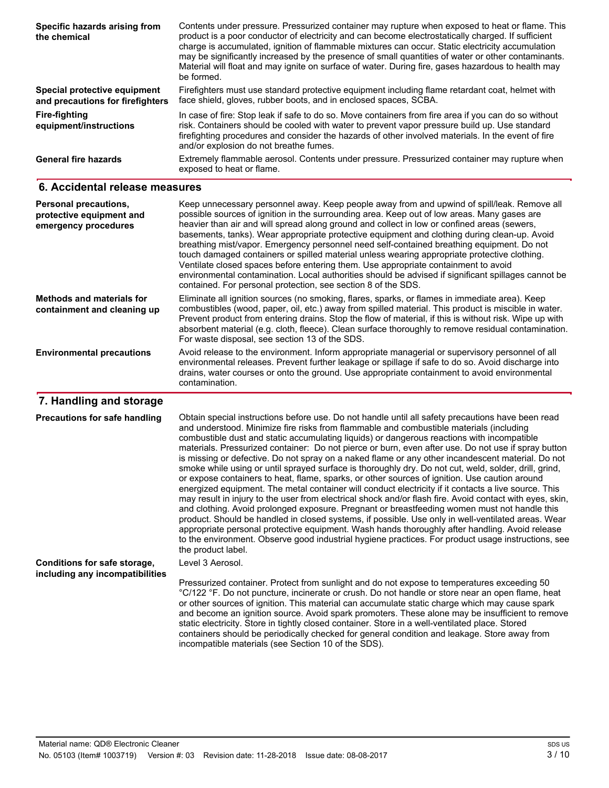| Specific hazards arising from<br>the chemical                    | Contents under pressure. Pressurized container may rupture when exposed to heat or flame. This<br>product is a poor conductor of electricity and can become electrostatically charged. If sufficient<br>charge is accumulated, ignition of flammable mixtures can occur. Static electricity accumulation<br>may be significantly increased by the presence of small quantities of water or other contaminants.<br>Material will float and may ignite on surface of water. During fire, gases hazardous to health may<br>be formed. |
|------------------------------------------------------------------|------------------------------------------------------------------------------------------------------------------------------------------------------------------------------------------------------------------------------------------------------------------------------------------------------------------------------------------------------------------------------------------------------------------------------------------------------------------------------------------------------------------------------------|
| Special protective equipment<br>and precautions for firefighters | Firefighters must use standard protective equipment including flame retardant coat, helmet with<br>face shield, gloves, rubber boots, and in enclosed spaces, SCBA.                                                                                                                                                                                                                                                                                                                                                                |
| <b>Fire-fighting</b><br>equipment/instructions                   | In case of fire: Stop leak if safe to do so. Move containers from fire area if you can do so without<br>risk. Containers should be cooled with water to prevent vapor pressure build up. Use standard<br>firefighting procedures and consider the hazards of other involved materials. In the event of fire<br>and/or explosion do not breathe fumes.                                                                                                                                                                              |
| <b>General fire hazards</b>                                      | Extremely flammable aerosol. Contents under pressure. Pressurized container may rupture when<br>exposed to heat or flame.                                                                                                                                                                                                                                                                                                                                                                                                          |

### **6. Accidental release measures**

| Personal precautions,<br>protective equipment and<br>emergency procedures | Keep unnecessary personnel away. Keep people away from and upwind of spill/leak. Remove all<br>possible sources of ignition in the surrounding area. Keep out of low areas. Many gases are<br>heavier than air and will spread along ground and collect in low or confined areas (sewers,<br>basements, tanks). Wear appropriate protective equipment and clothing during clean-up. Avoid<br>breathing mist/vapor. Emergency personnel need self-contained breathing equipment. Do not<br>touch damaged containers or spilled material unless wearing appropriate protective clothing.<br>Ventilate closed spaces before entering them. Use appropriate containment to avoid<br>environmental contamination. Local authorities should be advised if significant spillages cannot be<br>contained. For personal protection, see section 8 of the SDS. |
|---------------------------------------------------------------------------|------------------------------------------------------------------------------------------------------------------------------------------------------------------------------------------------------------------------------------------------------------------------------------------------------------------------------------------------------------------------------------------------------------------------------------------------------------------------------------------------------------------------------------------------------------------------------------------------------------------------------------------------------------------------------------------------------------------------------------------------------------------------------------------------------------------------------------------------------|
| <b>Methods and materials for</b><br>containment and cleaning up           | Eliminate all ignition sources (no smoking, flares, sparks, or flames in immediate area). Keep<br>combustibles (wood, paper, oil, etc.) away from spilled material. This product is miscible in water.<br>Prevent product from entering drains. Stop the flow of material, if this is without risk. Wipe up with<br>absorbent material (e.g. cloth, fleece). Clean surface thoroughly to remove residual contamination.<br>For waste disposal, see section 13 of the SDS.                                                                                                                                                                                                                                                                                                                                                                            |
| <b>Environmental precautions</b>                                          | Avoid release to the environment. Inform appropriate managerial or supervisory personnel of all<br>environmental releases. Prevent further leakage or spillage if safe to do so. Avoid discharge into<br>drains, water courses or onto the ground. Use appropriate containment to avoid environmental<br>contamination.                                                                                                                                                                                                                                                                                                                                                                                                                                                                                                                              |

# **7. Eandling and storage**

| <b>Precautions for safe handling</b>                            | Obtain special instructions before use. Do not handle until all safety precautions have been read<br>and understood. Minimize fire risks from flammable and combustible materials (including<br>combustible dust and static accumulating liquids) or dangerous reactions with incompatible<br>materials. Pressurized container: Do not pierce or burn, even after use. Do not use if spray button<br>is missing or defective. Do not spray on a naked flame or any other incandescent material. Do not<br>smoke while using or until sprayed surface is thoroughly dry. Do not cut, weld, solder, drill, grind,<br>or expose containers to heat, flame, sparks, or other sources of ignition. Use caution around<br>energized equipment. The metal container will conduct electricity if it contacts a live source. This<br>may result in injury to the user from electrical shock and/or flash fire. Avoid contact with eyes, skin,<br>and clothing. Avoid prolonged exposure. Pregnant or breastfeeding women must not handle this<br>product. Should be handled in closed systems, if possible. Use only in well-ventilated areas. Wear<br>appropriate personal protective equipment. Wash hands thoroughly after handling. Avoid release<br>to the environment. Observe good industrial hygiene practices. For product usage instructions, see<br>the product label. |
|-----------------------------------------------------------------|--------------------------------------------------------------------------------------------------------------------------------------------------------------------------------------------------------------------------------------------------------------------------------------------------------------------------------------------------------------------------------------------------------------------------------------------------------------------------------------------------------------------------------------------------------------------------------------------------------------------------------------------------------------------------------------------------------------------------------------------------------------------------------------------------------------------------------------------------------------------------------------------------------------------------------------------------------------------------------------------------------------------------------------------------------------------------------------------------------------------------------------------------------------------------------------------------------------------------------------------------------------------------------------------------------------------------------------------------------------------------|
| Conditions for safe storage,<br>including any incompatibilities | Level 3 Aerosol.                                                                                                                                                                                                                                                                                                                                                                                                                                                                                                                                                                                                                                                                                                                                                                                                                                                                                                                                                                                                                                                                                                                                                                                                                                                                                                                                                         |
|                                                                 | Pressurized container. Protect from sunlight and do not expose to temperatures exceeding 50<br>°C/122 °F. Do not puncture, incinerate or crush. Do not handle or store near an open flame, heat<br>or other sources of ignition. This material can accumulate static charge which may cause spark<br>and become an ignition source. Avoid spark promoters. These alone may be insufficient to remove<br>static electricity. Store in tightly closed container. Store in a well-ventilated place. Stored<br>containers should be periodically checked for general condition and leakage. Store away from<br>incompatible materials (see Section 10 of the SDS).                                                                                                                                                                                                                                                                                                                                                                                                                                                                                                                                                                                                                                                                                                           |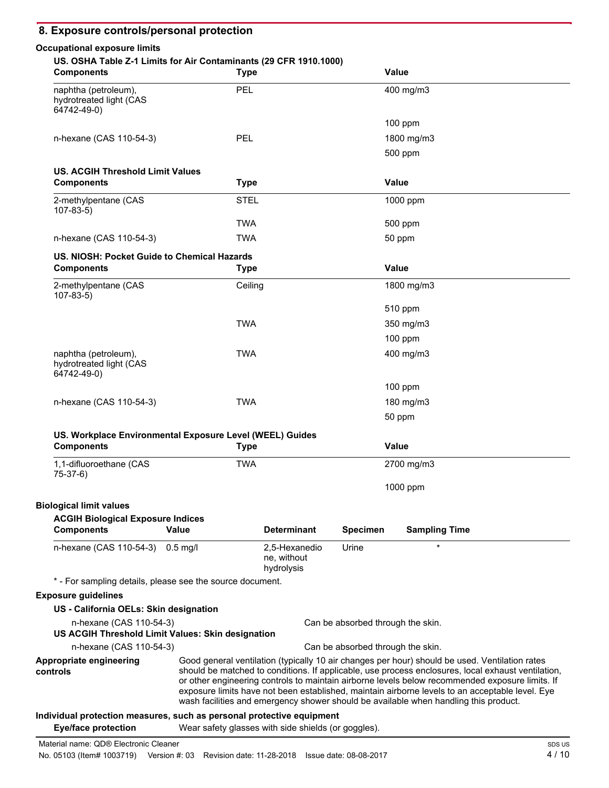## **8. Exposure controls/personal protection**

| <b>Occupational exposure limits</b><br>US. OSHA Table Z-1 Limits for Air Contaminants (29 CFR 1910.1000) |                                                     |                                            |                                   |                                                                                                                                                                                                                                                                                                                                                                                                                                                                                                    |
|----------------------------------------------------------------------------------------------------------|-----------------------------------------------------|--------------------------------------------|-----------------------------------|----------------------------------------------------------------------------------------------------------------------------------------------------------------------------------------------------------------------------------------------------------------------------------------------------------------------------------------------------------------------------------------------------------------------------------------------------------------------------------------------------|
| <b>Components</b>                                                                                        | <b>Type</b>                                         |                                            |                                   | Value                                                                                                                                                                                                                                                                                                                                                                                                                                                                                              |
| naphtha (petroleum),<br>hydrotreated light (CAS<br>64742-49-0)                                           | <b>PEL</b>                                          |                                            |                                   | 400 mg/m3                                                                                                                                                                                                                                                                                                                                                                                                                                                                                          |
|                                                                                                          |                                                     |                                            |                                   | 100 ppm                                                                                                                                                                                                                                                                                                                                                                                                                                                                                            |
| n-hexane (CAS 110-54-3)                                                                                  | <b>PEL</b>                                          |                                            |                                   | 1800 mg/m3                                                                                                                                                                                                                                                                                                                                                                                                                                                                                         |
|                                                                                                          |                                                     |                                            |                                   | 500 ppm                                                                                                                                                                                                                                                                                                                                                                                                                                                                                            |
| <b>US. ACGIH Threshold Limit Values</b><br><b>Components</b>                                             | <b>Type</b>                                         |                                            |                                   | Value                                                                                                                                                                                                                                                                                                                                                                                                                                                                                              |
| 2-methylpentane (CAS<br>$107 - 83 - 5$                                                                   | <b>STEL</b>                                         |                                            |                                   | 1000 ppm                                                                                                                                                                                                                                                                                                                                                                                                                                                                                           |
|                                                                                                          | <b>TWA</b>                                          |                                            |                                   | 500 ppm                                                                                                                                                                                                                                                                                                                                                                                                                                                                                            |
| n-hexane (CAS 110-54-3)                                                                                  | TWA                                                 |                                            |                                   | 50 ppm                                                                                                                                                                                                                                                                                                                                                                                                                                                                                             |
| US. NIOSH: Pocket Guide to Chemical Hazards                                                              |                                                     |                                            |                                   |                                                                                                                                                                                                                                                                                                                                                                                                                                                                                                    |
| <b>Components</b>                                                                                        | <b>Type</b>                                         |                                            |                                   | Value                                                                                                                                                                                                                                                                                                                                                                                                                                                                                              |
| 2-methylpentane (CAS<br>$107 - 83 - 5$                                                                   | Ceiling                                             |                                            |                                   | 1800 mg/m3                                                                                                                                                                                                                                                                                                                                                                                                                                                                                         |
|                                                                                                          |                                                     |                                            |                                   | 510 ppm                                                                                                                                                                                                                                                                                                                                                                                                                                                                                            |
|                                                                                                          | <b>TWA</b>                                          |                                            |                                   | 350 mg/m3                                                                                                                                                                                                                                                                                                                                                                                                                                                                                          |
|                                                                                                          |                                                     |                                            |                                   | $100$ ppm                                                                                                                                                                                                                                                                                                                                                                                                                                                                                          |
| naphtha (petroleum),<br>hydrotreated light (CAS<br>64742-49-0)                                           | <b>TWA</b>                                          |                                            |                                   | 400 mg/m3                                                                                                                                                                                                                                                                                                                                                                                                                                                                                          |
|                                                                                                          |                                                     |                                            |                                   | 100 ppm                                                                                                                                                                                                                                                                                                                                                                                                                                                                                            |
| n-hexane (CAS 110-54-3)                                                                                  | <b>TWA</b>                                          |                                            |                                   | 180 mg/m3                                                                                                                                                                                                                                                                                                                                                                                                                                                                                          |
|                                                                                                          |                                                     |                                            |                                   | 50 ppm                                                                                                                                                                                                                                                                                                                                                                                                                                                                                             |
| US. Workplace Environmental Exposure Level (WEEL) Guides<br><b>Components</b>                            | <b>Type</b>                                         |                                            |                                   | Value                                                                                                                                                                                                                                                                                                                                                                                                                                                                                              |
| 1,1-difluoroethane (CAS                                                                                  | <b>TWA</b>                                          |                                            |                                   | 2700 mg/m3                                                                                                                                                                                                                                                                                                                                                                                                                                                                                         |
| $75-37-6$                                                                                                |                                                     |                                            |                                   | 1000 ppm                                                                                                                                                                                                                                                                                                                                                                                                                                                                                           |
| <b>Biological limit values</b><br><b>ACGIH Biological Exposure Indices</b>                               |                                                     |                                            |                                   |                                                                                                                                                                                                                                                                                                                                                                                                                                                                                                    |
| <b>Components</b>                                                                                        | <b>Value</b>                                        | <b>Determinant</b>                         | <b>Specimen</b>                   | <b>Sampling Time</b>                                                                                                                                                                                                                                                                                                                                                                                                                                                                               |
| n-hexane (CAS 110-54-3)                                                                                  | $0.5$ mg/l                                          | 2,5-Hexanedio<br>ne, without<br>hydrolysis | Urine                             | $\star$                                                                                                                                                                                                                                                                                                                                                                                                                                                                                            |
| * - For sampling details, please see the source document.                                                |                                                     |                                            |                                   |                                                                                                                                                                                                                                                                                                                                                                                                                                                                                                    |
| <b>Exposure quidelines</b>                                                                               |                                                     |                                            |                                   |                                                                                                                                                                                                                                                                                                                                                                                                                                                                                                    |
| US - California OELs: Skin designation                                                                   |                                                     |                                            |                                   |                                                                                                                                                                                                                                                                                                                                                                                                                                                                                                    |
| n-hexane (CAS 110-54-3)<br>US ACGIH Threshold Limit Values: Skin designation                             |                                                     |                                            | Can be absorbed through the skin. |                                                                                                                                                                                                                                                                                                                                                                                                                                                                                                    |
| n-hexane (CAS 110-54-3)                                                                                  |                                                     |                                            | Can be absorbed through the skin. |                                                                                                                                                                                                                                                                                                                                                                                                                                                                                                    |
| Appropriate engineering<br>controls                                                                      |                                                     |                                            |                                   | Good general ventilation (typically 10 air changes per hour) should be used. Ventilation rates<br>should be matched to conditions. If applicable, use process enclosures, local exhaust ventilation,<br>or other engineering controls to maintain airborne levels below recommended exposure limits. If<br>exposure limits have not been established, maintain airborne levels to an acceptable level. Eye<br>wash facilities and emergency shower should be available when handling this product. |
| Individual protection measures, such as personal protective equipment                                    |                                                     |                                            |                                   |                                                                                                                                                                                                                                                                                                                                                                                                                                                                                                    |
| <b>Eye/face protection</b>                                                                               | Wear safety glasses with side shields (or goggles). |                                            |                                   |                                                                                                                                                                                                                                                                                                                                                                                                                                                                                                    |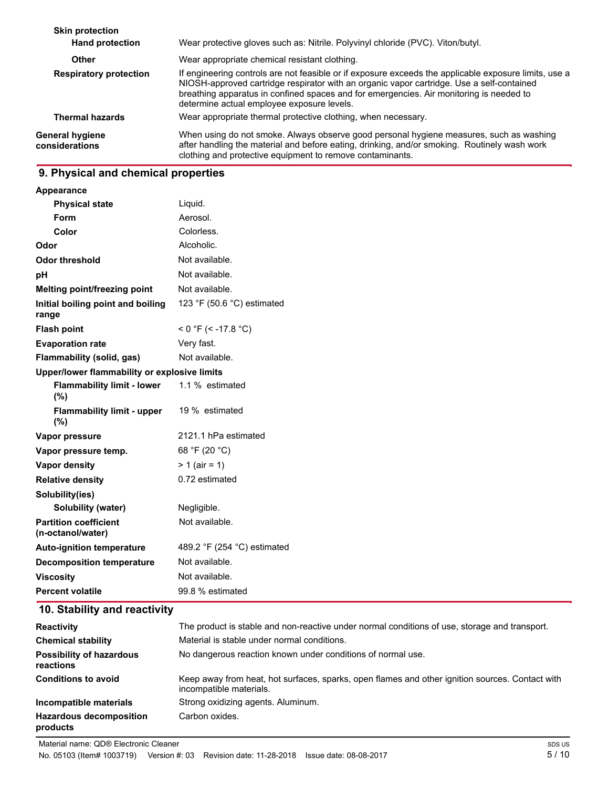| <b>Skin protection</b><br><b>Hand protection</b> | Wear protective gloves such as: Nitrile. Polyvinyl chloride (PVC). Viton/butyl.                                                                                                                                                                                                                                                             |
|--------------------------------------------------|---------------------------------------------------------------------------------------------------------------------------------------------------------------------------------------------------------------------------------------------------------------------------------------------------------------------------------------------|
| Other                                            | Wear appropriate chemical resistant clothing.                                                                                                                                                                                                                                                                                               |
| <b>Respiratory protection</b>                    | If engineering controls are not feasible or if exposure exceeds the applicable exposure limits, use a<br>NIOSH-approved cartridge respirator with an organic vapor cartridge. Use a self-contained<br>breathing apparatus in confined spaces and for emergencies. Air monitoring is needed to<br>determine actual employee exposure levels. |
| <b>Thermal hazards</b>                           | Wear appropriate thermal protective clothing, when necessary.                                                                                                                                                                                                                                                                               |
| <b>General hygiene</b><br>considerations         | When using do not smoke. Always observe good personal hygiene measures, such as washing<br>after handling the material and before eating, drinking, and/or smoking. Routinely wash work<br>clothing and protective equipment to remove contaminants.                                                                                        |

# **9. Physical and chemical properties**

**Appearance Physical state** Liquid. **Form** Aerosol. **Color** Colorless. **Odor** Alcoholic.

| vuu                                               | AIUUHUIL.                   |
|---------------------------------------------------|-----------------------------|
| Odor threshold                                    | Not available.              |
| pН                                                | Not available.              |
| Melting point/freezing point                      | Not available.              |
| Initial boiling point and boiling<br>range        | 123 °F (50.6 °C) estimated  |
| <b>Flash point</b>                                | $<$ 0 °F (< -17.8 °C)       |
| <b>Evaporation rate</b>                           | Very fast.                  |
| Flammability (solid, gas)                         | Not available.              |
| Upper/lower flammability or explosive limits      |                             |
| <b>Flammability limit - lower</b><br>(%)          | 1.1 % estimated             |
| <b>Flammability limit - upper</b><br>(%)          | 19 % estimated              |
| Vapor pressure                                    | 2121.1 hPa estimated        |
| Vapor pressure temp.                              | 68 °F (20 °C)               |
| Vapor density                                     | $> 1$ (air = 1)             |
| <b>Relative density</b>                           | 0.72 estimated              |
| Solubility(ies)                                   |                             |
| Solubility (water)                                | Negligible.                 |
| <b>Partition coefficient</b><br>(n-octanol/water) | Not available.              |
| <b>Auto-ignition temperature</b>                  | 489.2 °F (254 °C) estimated |
| <b>Decomposition temperature</b>                  | Not available.              |
| <b>Viscosity</b>                                  | Not available.              |
| Percent volatile                                  | 99.8 % estimated            |

# **10. Stability and reactivity**

| <b>Reactivity</b>                            | The product is stable and non-reactive under normal conditions of use, storage and transport.                              |
|----------------------------------------------|----------------------------------------------------------------------------------------------------------------------------|
| <b>Chemical stability</b>                    | Material is stable under normal conditions.                                                                                |
| <b>Possibility of hazardous</b><br>reactions | No dangerous reaction known under conditions of normal use.                                                                |
| <b>Conditions to avoid</b>                   | Keep away from heat, hot surfaces, sparks, open flames and other ignition sources. Contact with<br>incompatible materials. |
| Incompatible materials                       | Strong oxidizing agents. Aluminum.                                                                                         |
| <b>Hazardous decomposition</b><br>products   | Carbon oxides.                                                                                                             |

Material name: QD® Electronic Cleaner

No. 05103 (Item# 1003719) Version #: 03 Revision date: 11-28-2018 Issue date: 08-08-2017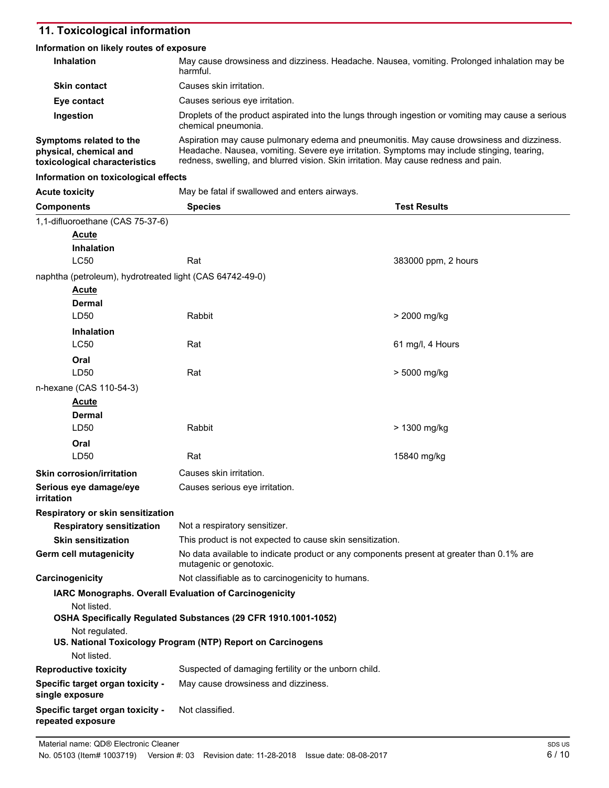# **11. Toxicological information**

#### **Information on likely routes of exposure**

| <b>Inhalation</b>                                                                  | May cause drowsiness and dizziness. Headache. Nausea, vomiting. Prolonged inhalation may be<br>harmful.                                                                                                                                                                        |
|------------------------------------------------------------------------------------|--------------------------------------------------------------------------------------------------------------------------------------------------------------------------------------------------------------------------------------------------------------------------------|
| <b>Skin contact</b>                                                                | Causes skin irritation.                                                                                                                                                                                                                                                        |
| Eye contact                                                                        | Causes serious eye irritation.                                                                                                                                                                                                                                                 |
| Ingestion                                                                          | Droplets of the product aspirated into the lungs through ingestion or vomiting may cause a serious<br>chemical pneumonia.                                                                                                                                                      |
| Symptoms related to the<br>physical, chemical and<br>toxicological characteristics | Aspiration may cause pulmonary edema and pneumonitis. May cause drowsiness and dizziness.<br>Headache. Nausea, vomiting. Severe eye irritation. Symptoms may include stinging, tearing,<br>redness, swelling, and blurred vision. Skin irritation. May cause redness and pain. |

#### **Information on toxicological effects**

| <b>Acute toxicity</b>                                    | May be fatal if swallowed and enters airways.                                                                       |                     |  |
|----------------------------------------------------------|---------------------------------------------------------------------------------------------------------------------|---------------------|--|
| <b>Components</b>                                        | <b>Test Results</b><br><b>Species</b>                                                                               |                     |  |
| 1,1-difluoroethane (CAS 75-37-6)                         |                                                                                                                     |                     |  |
| <b>Acute</b>                                             |                                                                                                                     |                     |  |
| Inhalation                                               |                                                                                                                     |                     |  |
| <b>LC50</b>                                              | Rat                                                                                                                 | 383000 ppm, 2 hours |  |
| naphtha (petroleum), hydrotreated light (CAS 64742-49-0) |                                                                                                                     |                     |  |
| <b>Acute</b>                                             |                                                                                                                     |                     |  |
| Dermal                                                   |                                                                                                                     |                     |  |
| LD50                                                     | Rabbit                                                                                                              | > 2000 mg/kg        |  |
| <b>Inhalation</b>                                        |                                                                                                                     |                     |  |
| <b>LC50</b>                                              | Rat                                                                                                                 | 61 mg/l, 4 Hours    |  |
| Oral                                                     |                                                                                                                     |                     |  |
| LD50                                                     | Rat                                                                                                                 | > 5000 mg/kg        |  |
| n-hexane (CAS 110-54-3)                                  |                                                                                                                     |                     |  |
| <b>Acute</b>                                             |                                                                                                                     |                     |  |
| <b>Dermal</b>                                            |                                                                                                                     |                     |  |
| LD50                                                     | Rabbit                                                                                                              | > 1300 mg/kg        |  |
| Oral                                                     |                                                                                                                     |                     |  |
| LD50                                                     | Rat                                                                                                                 | 15840 mg/kg         |  |
| <b>Skin corrosion/irritation</b>                         | Causes skin irritation.                                                                                             |                     |  |
| Serious eye damage/eye<br><i>irritation</i>              | Causes serious eye irritation.                                                                                      |                     |  |
| Respiratory or skin sensitization                        |                                                                                                                     |                     |  |
| <b>Respiratory sensitization</b>                         | Not a respiratory sensitizer.                                                                                       |                     |  |
| <b>Skin sensitization</b>                                | This product is not expected to cause skin sensitization.                                                           |                     |  |
| Germ cell mutagenicity                                   | No data available to indicate product or any components present at greater than 0.1% are<br>mutagenic or genotoxic. |                     |  |
| Carcinogenicity                                          | Not classifiable as to carcinogenicity to humans.                                                                   |                     |  |
|                                                          | IARC Monographs. Overall Evaluation of Carcinogenicity                                                              |                     |  |
| Not listed.                                              |                                                                                                                     |                     |  |
|                                                          | OSHA Specifically Regulated Substances (29 CFR 1910.1001-1052)                                                      |                     |  |
| Not regulated.                                           | US. National Toxicology Program (NTP) Report on Carcinogens                                                         |                     |  |
| Not listed.                                              |                                                                                                                     |                     |  |
| <b>Reproductive toxicity</b>                             | Suspected of damaging fertility or the unborn child.                                                                |                     |  |
| Specific target organ toxicity -                         | May cause drowsiness and dizziness.                                                                                 |                     |  |
| single exposure                                          |                                                                                                                     |                     |  |
| Specific target organ toxicity -<br>repeated exposure    | Not classified.                                                                                                     |                     |  |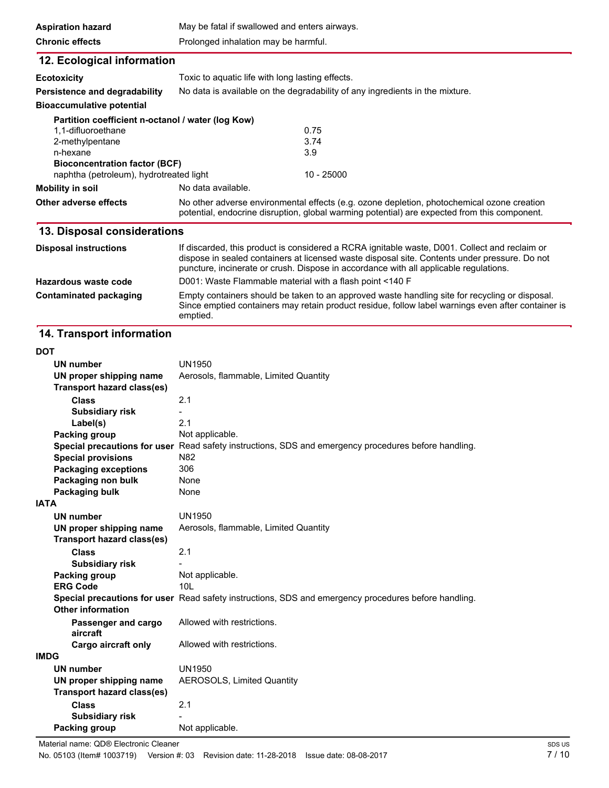| <b>Aspiration hazard</b>                          | May be fatal if swallowed and enters airways.                                                                                                                                                                    |  |  |
|---------------------------------------------------|------------------------------------------------------------------------------------------------------------------------------------------------------------------------------------------------------------------|--|--|
| <b>Chronic effects</b>                            | Prolonged inhalation may be harmful.                                                                                                                                                                             |  |  |
| 12. Ecological information                        |                                                                                                                                                                                                                  |  |  |
| <b>Ecotoxicity</b>                                | Toxic to aquatic life with long lasting effects.                                                                                                                                                                 |  |  |
| Persistence and degradability                     | No data is available on the degradability of any ingredients in the mixture.                                                                                                                                     |  |  |
| <b>Bioaccumulative potential</b>                  |                                                                                                                                                                                                                  |  |  |
| Partition coefficient n-octanol / water (log Kow) |                                                                                                                                                                                                                  |  |  |
| 1.1-difluoroethane                                | 0.75                                                                                                                                                                                                             |  |  |
| 2-methylpentane                                   | 3.74                                                                                                                                                                                                             |  |  |
| n-hexane<br><b>Bioconcentration factor (BCF)</b>  | 3.9                                                                                                                                                                                                              |  |  |
| naphtha (petroleum), hydrotreated light           | 10 - 25000                                                                                                                                                                                                       |  |  |
| <b>Mobility in soil</b>                           | No data available.                                                                                                                                                                                               |  |  |
| Other adverse effects                             | No other adverse environmental effects (e.g. ozone depletion, photochemical ozone creation<br>potential, endocrine disruption, global warming potential) are expected from this component.                       |  |  |
| 13. Disposal considerations                       |                                                                                                                                                                                                                  |  |  |
| <b>Disposal instructions</b>                      | If discarded, this product is considered a RCRA ignitable waste, D001. Collect and reclaim or<br>dispose in sealed containers at licensed waste disposal site. Contents under pressure. Do not                   |  |  |
|                                                   | puncture, incinerate or crush. Dispose in accordance with all applicable regulations.                                                                                                                            |  |  |
| Hazardous waste code                              | D001: Waste Flammable material with a flash point <140 F                                                                                                                                                         |  |  |
| <b>Contaminated packaging</b>                     | Empty containers should be taken to an approved waste handling site for recycling or disposal.<br>Since emptied containers may retain product residue, follow label warnings even after container is<br>emptied. |  |  |
| 14. Transport information                         |                                                                                                                                                                                                                  |  |  |
| DOT                                               |                                                                                                                                                                                                                  |  |  |
| UN number                                         | UN1950                                                                                                                                                                                                           |  |  |
| UN proper shipping name                           | Aerosols, flammable, Limited Quantity                                                                                                                                                                            |  |  |
| <b>Transport hazard class(es)</b>                 |                                                                                                                                                                                                                  |  |  |
| <b>Class</b>                                      | 2.1                                                                                                                                                                                                              |  |  |
| <b>Subsidiary risk</b>                            |                                                                                                                                                                                                                  |  |  |
| Label(s)<br><b>Packing group</b>                  | 2.1<br>Not applicable.                                                                                                                                                                                           |  |  |
|                                                   | Special precautions for user Read safety instructions, SDS and emergency procedures before handling.                                                                                                             |  |  |
| <b>Special provisions</b>                         | N82                                                                                                                                                                                                              |  |  |
| <b>Packaging exceptions</b>                       | 306                                                                                                                                                                                                              |  |  |
| Packaging non bulk                                | None                                                                                                                                                                                                             |  |  |
| Packaging bulk<br><b>IATA</b>                     | None                                                                                                                                                                                                             |  |  |
| <b>UN number</b>                                  | <b>UN1950</b>                                                                                                                                                                                                    |  |  |
| UN proper shipping name                           | Aerosols, flammable, Limited Quantity                                                                                                                                                                            |  |  |
| <b>Transport hazard class(es)</b>                 |                                                                                                                                                                                                                  |  |  |
| <b>Class</b>                                      | 2.1                                                                                                                                                                                                              |  |  |
| <b>Subsidiary risk</b>                            |                                                                                                                                                                                                                  |  |  |
| Packing group<br><b>ERG Code</b>                  | Not applicable.<br>10L                                                                                                                                                                                           |  |  |
|                                                   | Special precautions for user Read safety instructions, SDS and emergency procedures before handling.                                                                                                             |  |  |
| <b>Other information</b>                          |                                                                                                                                                                                                                  |  |  |
| Passenger and cargo<br>aircraft                   | Allowed with restrictions.                                                                                                                                                                                       |  |  |
| Cargo aircraft only                               | Allowed with restrictions.                                                                                                                                                                                       |  |  |
| <b>IMDG</b>                                       |                                                                                                                                                                                                                  |  |  |
| <b>UN number</b><br>UN proper shipping name       | <b>UN1950</b><br><b>AEROSOLS, Limited Quantity</b>                                                                                                                                                               |  |  |
| <b>Transport hazard class(es)</b>                 |                                                                                                                                                                                                                  |  |  |
| <b>Class</b>                                      | 2.1                                                                                                                                                                                                              |  |  |
| <b>Subsidiary risk</b>                            |                                                                                                                                                                                                                  |  |  |
| Packing group                                     | Not applicable.                                                                                                                                                                                                  |  |  |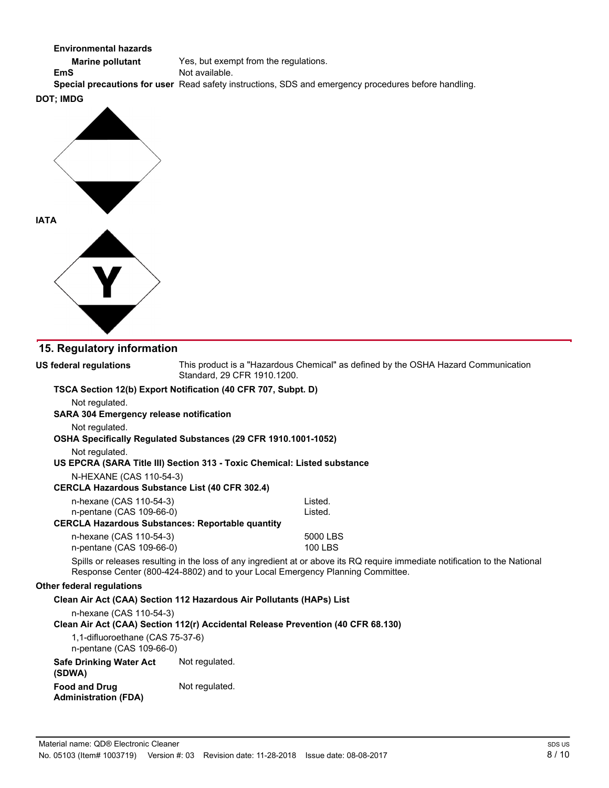#### **Environmental hazards**

**Marine pollutant** Yes, but exempt from the regulations. **EmS** Not available. **Special precautions for user** Read safety instructions, SDS and emergency procedures before handling.

### **DOT; IMDG**



# **15. tegulatory information**

| US federal regulations                                       | This product is a "Hazardous Chemical" as defined by the OSHA Hazard Communication<br>Standard, 29 CFR 1910.1200. |                                                                                                                                                                                                                |  |
|--------------------------------------------------------------|-------------------------------------------------------------------------------------------------------------------|----------------------------------------------------------------------------------------------------------------------------------------------------------------------------------------------------------------|--|
|                                                              | TSCA Section 12(b) Export Notification (40 CFR 707, Subpt. D)                                                     |                                                                                                                                                                                                                |  |
| Not regulated.                                               |                                                                                                                   |                                                                                                                                                                                                                |  |
| <b>SARA 304 Emergency release notification</b>               |                                                                                                                   |                                                                                                                                                                                                                |  |
| Not regulated.                                               |                                                                                                                   |                                                                                                                                                                                                                |  |
|                                                              | OSHA Specifically Regulated Substances (29 CFR 1910.1001-1052)                                                    |                                                                                                                                                                                                                |  |
| Not regulated.                                               |                                                                                                                   |                                                                                                                                                                                                                |  |
|                                                              | US EPCRA (SARA Title III) Section 313 - Toxic Chemical: Listed substance                                          |                                                                                                                                                                                                                |  |
| N-HEXANE (CAS 110-54-3)                                      |                                                                                                                   |                                                                                                                                                                                                                |  |
|                                                              | <b>CERCLA Hazardous Substance List (40 CFR 302.4)</b>                                                             |                                                                                                                                                                                                                |  |
| n-hexane (CAS 110-54-3)                                      |                                                                                                                   | Listed.                                                                                                                                                                                                        |  |
| n-pentane (CAS 109-66-0)                                     |                                                                                                                   | Listed.                                                                                                                                                                                                        |  |
|                                                              | <b>CERCLA Hazardous Substances: Reportable quantity</b>                                                           |                                                                                                                                                                                                                |  |
| n-hexane (CAS 110-54-3)                                      |                                                                                                                   | 5000 LBS                                                                                                                                                                                                       |  |
| n-pentane (CAS 109-66-0)                                     |                                                                                                                   | 100 LBS                                                                                                                                                                                                        |  |
|                                                              |                                                                                                                   | Spills or releases resulting in the loss of any ingredient at or above its RQ require immediate notification to the National<br>Response Center (800-424-8802) and to your Local Emergency Planning Committee. |  |
| Other federal regulations                                    |                                                                                                                   |                                                                                                                                                                                                                |  |
|                                                              | Clean Air Act (CAA) Section 112 Hazardous Air Pollutants (HAPs) List                                              |                                                                                                                                                                                                                |  |
| n-hexane (CAS 110-54-3)                                      |                                                                                                                   |                                                                                                                                                                                                                |  |
|                                                              |                                                                                                                   | Clean Air Act (CAA) Section 112(r) Accidental Release Prevention (40 CFR 68.130)                                                                                                                               |  |
| 1,1-difluoroethane (CAS 75-37-6)<br>n-pentane (CAS 109-66-0) |                                                                                                                   |                                                                                                                                                                                                                |  |
| <b>Safe Drinking Water Act</b><br>(SDWA)                     | Not regulated.                                                                                                    |                                                                                                                                                                                                                |  |
| <b>Food and Drug</b>                                         | Not regulated.                                                                                                    |                                                                                                                                                                                                                |  |

**Administration (FDA)**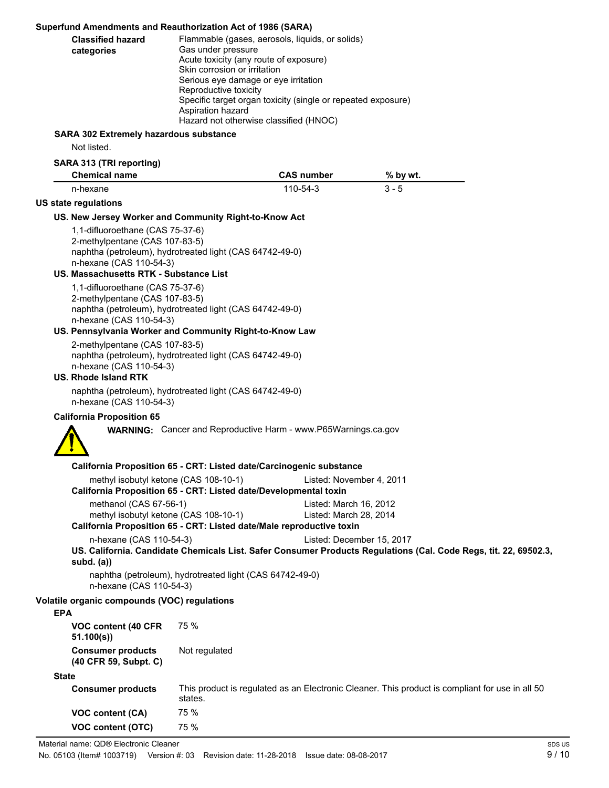#### **Superfund Amendments and Reauthorization Act of 1986 (SARA)**

| <b>Classified hazard</b><br>categories | Flammable (gases, aerosols, liquids, or solids)<br>Gas under pressure<br>Acute toxicity (any route of exposure)<br>Skin corrosion or irritation<br>Serious eye damage or eye irritation<br>Reproductive toxicity<br>Specific target organ toxicity (single or repeated exposure)<br>Aspiration hazard |
|----------------------------------------|-------------------------------------------------------------------------------------------------------------------------------------------------------------------------------------------------------------------------------------------------------------------------------------------------------|
|                                        | Hazard not otherwise classified (HNOC)                                                                                                                                                                                                                                                                |

### **SARA 302 Extremely hazardous substance**

Not listed.

#### **SAtA 313 (TtI reporting)**

| SARA 313 (TRI reporting)<br><b>Chemical name</b>                                                                                                          |                                                          | <b>CAS number</b>                                                                                                                            | % by wt.                                                                                                                                      |  |
|-----------------------------------------------------------------------------------------------------------------------------------------------------------|----------------------------------------------------------|----------------------------------------------------------------------------------------------------------------------------------------------|-----------------------------------------------------------------------------------------------------------------------------------------------|--|
| n-hexane                                                                                                                                                  |                                                          | 110-54-3                                                                                                                                     | $3 - 5$                                                                                                                                       |  |
| <b>US state regulations</b>                                                                                                                               |                                                          |                                                                                                                                              |                                                                                                                                               |  |
| US. New Jersey Worker and Community Right-to-Know Act                                                                                                     |                                                          |                                                                                                                                              |                                                                                                                                               |  |
| 1,1-difluoroethane (CAS 75-37-6)<br>2-methylpentane (CAS 107-83-5)<br>naphtha (petroleum), hydrotreated light (CAS 64742-49-0)<br>n-hexane (CAS 110-54-3) |                                                          |                                                                                                                                              |                                                                                                                                               |  |
| <b>US. Massachusetts RTK - Substance List</b>                                                                                                             |                                                          |                                                                                                                                              |                                                                                                                                               |  |
| 1,1-difluoroethane (CAS 75-37-6)<br>2-methylpentane (CAS 107-83-5)<br>naphtha (petroleum), hydrotreated light (CAS 64742-49-0)<br>n-hexane (CAS 110-54-3) |                                                          |                                                                                                                                              |                                                                                                                                               |  |
| US. Pennsylvania Worker and Community Right-to-Know Law                                                                                                   |                                                          |                                                                                                                                              |                                                                                                                                               |  |
| 2-methylpentane (CAS 107-83-5)<br>naphtha (petroleum), hydrotreated light (CAS 64742-49-0)<br>n-hexane (CAS 110-54-3)<br>US. Rhode Island RTK             |                                                          |                                                                                                                                              |                                                                                                                                               |  |
| naphtha (petroleum), hydrotreated light (CAS 64742-49-0)<br>n-hexane (CAS 110-54-3)                                                                       |                                                          |                                                                                                                                              |                                                                                                                                               |  |
| <b>California Proposition 65</b>                                                                                                                          |                                                          |                                                                                                                                              |                                                                                                                                               |  |
|                                                                                                                                                           |                                                          | <b>WARNING:</b> Cancer and Reproductive Harm - www.P65Warnings.ca.gov<br>California Proposition 65 - CRT: Listed date/Carcinogenic substance |                                                                                                                                               |  |
| methyl isobutyl ketone (CAS 108-10-1)                                                                                                                     |                                                          | Listed: November 4, 2011                                                                                                                     |                                                                                                                                               |  |
| California Proposition 65 - CRT: Listed date/Developmental toxin                                                                                          |                                                          |                                                                                                                                              |                                                                                                                                               |  |
| methanol (CAS 67-56-1)                                                                                                                                    |                                                          | Listed: March 16, 2012                                                                                                                       |                                                                                                                                               |  |
| methyl isobutyl ketone (CAS 108-10-1)                                                                                                                     |                                                          | Listed: March 28, 2014                                                                                                                       |                                                                                                                                               |  |
|                                                                                                                                                           |                                                          | California Proposition 65 - CRT: Listed date/Male reproductive toxin                                                                         |                                                                                                                                               |  |
| n-hexane (CAS 110-54-3)<br>subd. $(a)$                                                                                                                    |                                                          |                                                                                                                                              | Listed: December 15, 2017<br>US. California. Candidate Chemicals List. Safer Consumer Products Regulations (Cal. Code Regs, tit. 22, 69502.3, |  |
| n-hexane (CAS 110-54-3)                                                                                                                                   | naphtha (petroleum), hydrotreated light (CAS 64742-49-0) |                                                                                                                                              |                                                                                                                                               |  |
| Volatile organic compounds (VOC) regulations<br><b>EPA</b>                                                                                                |                                                          |                                                                                                                                              |                                                                                                                                               |  |
| VOC content (40 CFR)<br>51.100(s)                                                                                                                         | 75 %                                                     |                                                                                                                                              |                                                                                                                                               |  |
| <b>Consumer products</b><br>(40 CFR 59, Subpt. C)                                                                                                         | Not regulated                                            |                                                                                                                                              |                                                                                                                                               |  |
| <b>State</b>                                                                                                                                              |                                                          |                                                                                                                                              |                                                                                                                                               |  |
| <b>Consumer products</b>                                                                                                                                  | states.                                                  |                                                                                                                                              | This product is regulated as an Electronic Cleaner. This product is compliant for use in all 50                                               |  |
| VOC content (CA)                                                                                                                                          | 75 %                                                     |                                                                                                                                              |                                                                                                                                               |  |
| <b>VOC content (OTC)</b>                                                                                                                                  | 75 %                                                     |                                                                                                                                              |                                                                                                                                               |  |
|                                                                                                                                                           |                                                          |                                                                                                                                              |                                                                                                                                               |  |